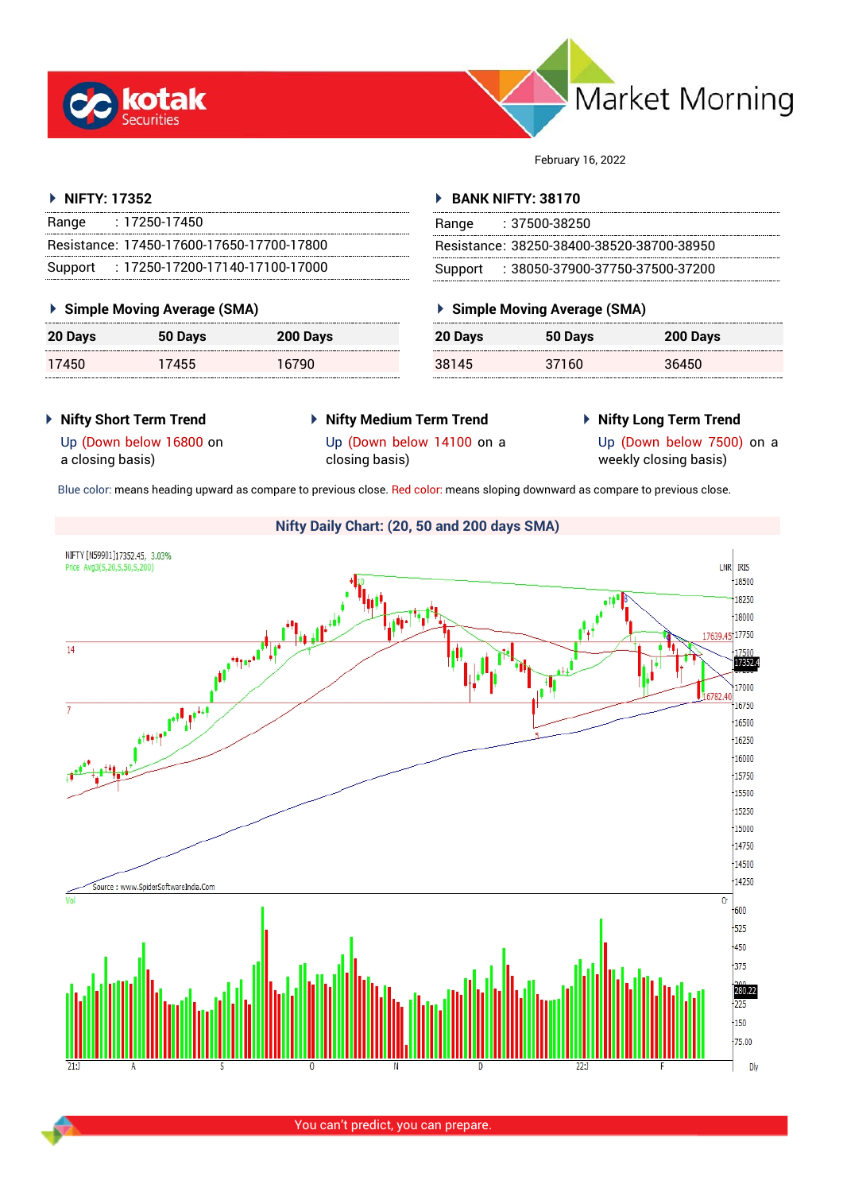



February 16, 2022

# **NIFTY: 17352**

| Range | $: 17250 - 17450$                         |
|-------|-------------------------------------------|
|       | Resistance: 17450-17600-17650-17700-17800 |
|       | Support: 17250-17200-17140-17100-17000    |

# **Simple Moving Average (SMA)**

| 20 Days | 50 Days | 200 Days |
|---------|---------|----------|
| 17450   | 17455   | 16790    |

## **BANK NIFTY: 38170**

| Range | : 37500-38250                             |
|-------|-------------------------------------------|
|       | Resistance: 38250-38400-38520-38700-38950 |
|       | Support: : 38050-37900-37750-37500-37200  |

# **Simple Moving Average (SMA)**

| 20 Days | 50 Days | 200 Days |
|---------|---------|----------|
| 38145   | 37160   | 36450    |

# **Nifty Short Term Trend**

- **Nifty Medium Term Trend** closing basis)
- **Nifty Long Term Trend**

Up (Down below 16800 on a closing basis)

Up (Down below 14100 on a

Up (Down below 7500) on a weekly closing basis)

Blue color: means heading upward as compare to previous close. Red color: means sloping downward as compare to previous close.



You can't predict, you can prepare.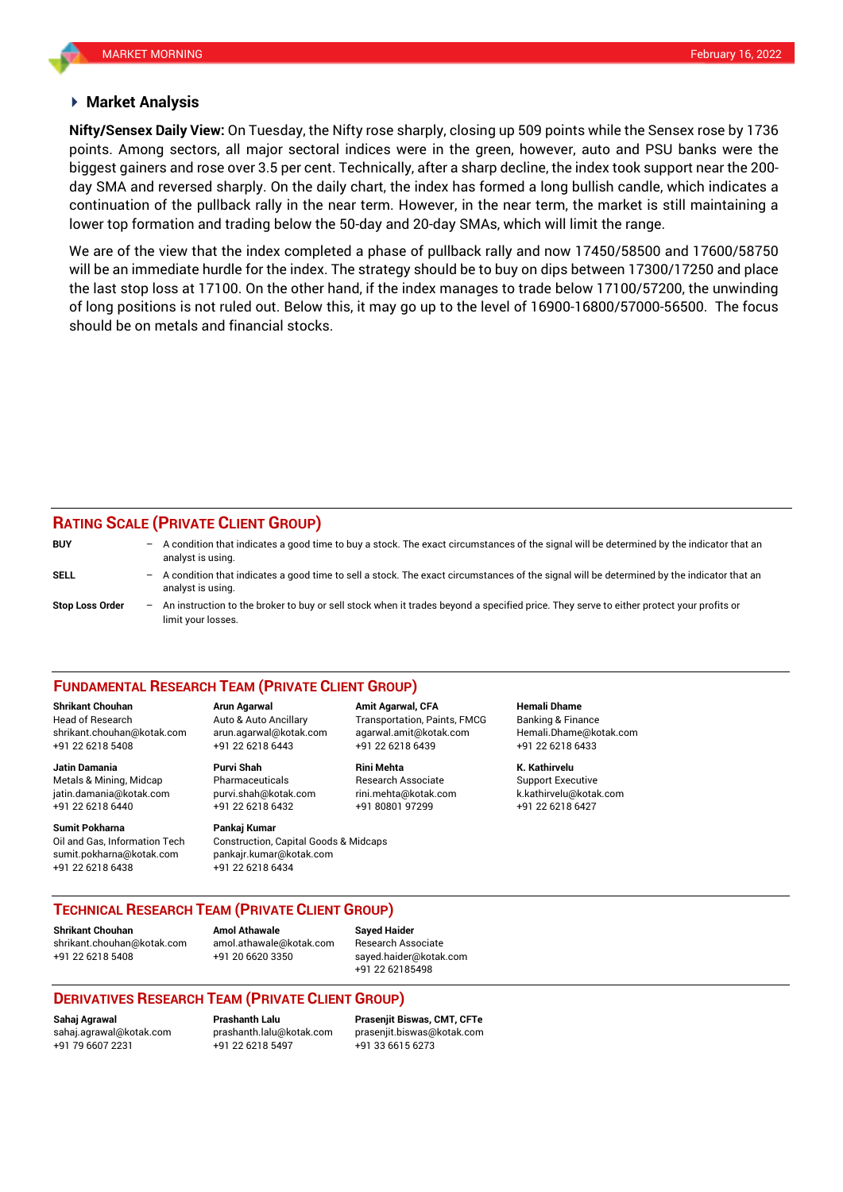### **Market Analysis**

points. Among sectors, all major sectoral indices were in the green, however, auto and PSU banks were the **Nifty/Sensex Daily View:** On Tuesday, the Nifty rose sharply, closing up 509 points while the Sensex rose by 1736 biggest gainers and rose over 3.5 per cent. Technically, after a sharp decline, the index took support near the 200 day SMA and reversed sharply. On the daily chart, the index has formed a long bullish candle, which indicates a continuation of the pullback rally in the near term. However, in the near term, the market is still maintaining a lower top formation and trading below the 50-day and 20-day SMAs, which will limit the range.

We are of the view that the index completed a phase of pullback rally and now 17450/58500 and 17600/58750 will be an immediate hurdle for the index. The strategy should be to buy on dips between 17300/17250 and place the last stop loss at 17100. On the other hand, if the index manages to trade below 17100/57200, the unwinding of long positions is not ruled out. Below this, it may go up to the level of 16900-16800/57000-56500. The focus should be on metals and financial stocks.

# **RATING SCALE (PRIVATE CLIENT GROUP)**

**BUY** – A condition that indicates a good time to buy a stock. The exact circumstances of the signal will be determined by the indicator that an analyst is using. **SELL** – A condition that indicates a good time to sell a stock. The exact circumstances of the signal will be determined by the indicator that an analyst is using. **Stop Loss Order** – An instruction to the broker to buy or sell stock when it trades beyond a specified price. They serve to either protect your profits or limit your losses.

#### **FUNDAMENTAL RESEARCH TEAM (PRIVATE CLIENT GROUP)**

Head of Research Auto & Auto Ancillary Transportation, Paints, FMCG Banking & Finance [shrikant.chouhan@kotak.com](mailto:shrikant.chouhan@kotak.com) arun.agarwal@kotak.com agarwal.amit@kotak.com Hemali.Dhame@kotak.com

**Jatin Damania Purvi Shah Rini Mehta K. Kathirvelu** Metals & Mining, Midcap Pharmaceuticals Research Associate Support Executive jatin.damania@kotak.com [purvi.shah@kotak.com](mailto:purvi.shah@kotak.com) rini.mehta@kotak.com [k.kathirvelu@kotak.com](mailto:k.kathirvelu@kotak.com) +91 22 6218 6440 +91 22 6218 6432 +91 80801 97299 +91 22 6218 6427

**Sumit Pokharna** Pankaj Kumar Oil and Gas, Information Tech Construction, Capital Goods & Midcaps sumit.pokharna@kotak.com pankajr.kumar@kotak.com +91 22 6218 6438 +91 22 6218 6434

**Shrikant Chouhan Arun Agarwal Amit Agarwal, CFA Hemali Dhame** +91 22 6218 5408 +91 22 6218 6443 +91 22 6218 6439 +91 22 6218 6433

### **TECHNICAL RESEARCH TEAM (PRIVATE CLIENT GROUP)**

**Shrikant Chouhan Amol Athawale Sayed Haider** [shrikant.chouhan@kotak.com](mailto:shrikant.chouhan@kotak.com) [amol.athawale@kotak.com](mailto:amol.athawale@kotak.com) Research Associate +91 22 6218 5408 +91 20 6620 3350 [sayed.haider@kotak.com](mailto:sayed.haider@kotak.com)

+91 22 62185498

# **DERIVATIVES RESEARCH TEAM (PRIVATE CLIENT GROUP)**

+91 79 6607 2231 +91 22 6218 5497 +91 33 6615 6273

**Sahaj Agrawal Prashanth Lalu Prasenjit Biswas, CMT, CFTe** [sahaj.agrawal@kotak.com](mailto:sahaj.agrawal@kotak.com) [prashanth.lalu@kotak.com](mailto:prashanth.lalu@kotak.com) [prasenjit.biswas@kotak.com](mailto:prasenjit.biswas@kotak.com)